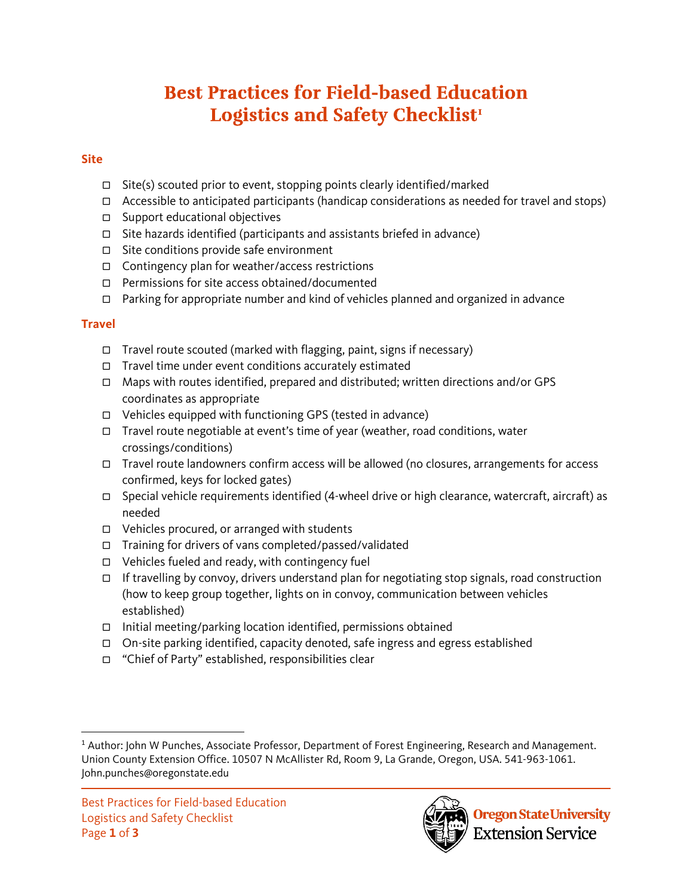# **Best Practices for Field-based Education Logistics and Safety Checklist[1](#page-0-0)**

#### **Site**

- $\Box$  Site(s) scouted prior to event, stopping points clearly identified/marked
- $\Box$  Accessible to anticipated participants (handicap considerations as needed for travel and stops)
- $\square$  Support educational objectives
- $\Box$  Site hazards identified (participants and assistants briefed in advance)
- $\Box$  Site conditions provide safe environment
- Contingency plan for weather/access restrictions
- □ Permissions for site access obtained/documented
- $\Box$  Parking for appropriate number and kind of vehicles planned and organized in advance

## **Travel**

- $\Box$  Travel route scouted (marked with flagging, paint, signs if necessary)
- $\Box$  Travel time under event conditions accurately estimated
- $\Box$  Maps with routes identified, prepared and distributed; written directions and/or GPS coordinates as appropriate
- $\Box$  Vehicles equipped with functioning GPS (tested in advance)
- Travel route negotiable at event's time of year (weather, road conditions, water crossings/conditions)
- □ Travel route landowners confirm access will be allowed (no closures, arrangements for access confirmed, keys for locked gates)
- $\Box$  Special vehicle requirements identified (4-wheel drive or high clearance, watercraft, aircraft) as needed
- $\Box$  Vehicles procured, or arranged with students
- Training for drivers of vans completed/passed/validated
- $\Box$  Vehicles fueled and ready, with contingency fuel
- $\Box$  If travelling by convoy, drivers understand plan for negotiating stop signals, road construction (how to keep group together, lights on in convoy, communication between vehicles established)
- $\Box$  Initial meeting/parking location identified, permissions obtained
- On-site parking identified, capacity denoted, safe ingress and egress established
- "Chief of Party" established, responsibilities clear



<span id="page-0-0"></span><sup>&</sup>lt;sup>1</sup> Author: John W Punches, Associate Professor, Department of Forest Engineering, Research and Management. Union County Extension Office. 10507 N McAllister Rd, Room 9, La Grande, Oregon, USA. 541-963-1061. John.punches@oregonstate.edu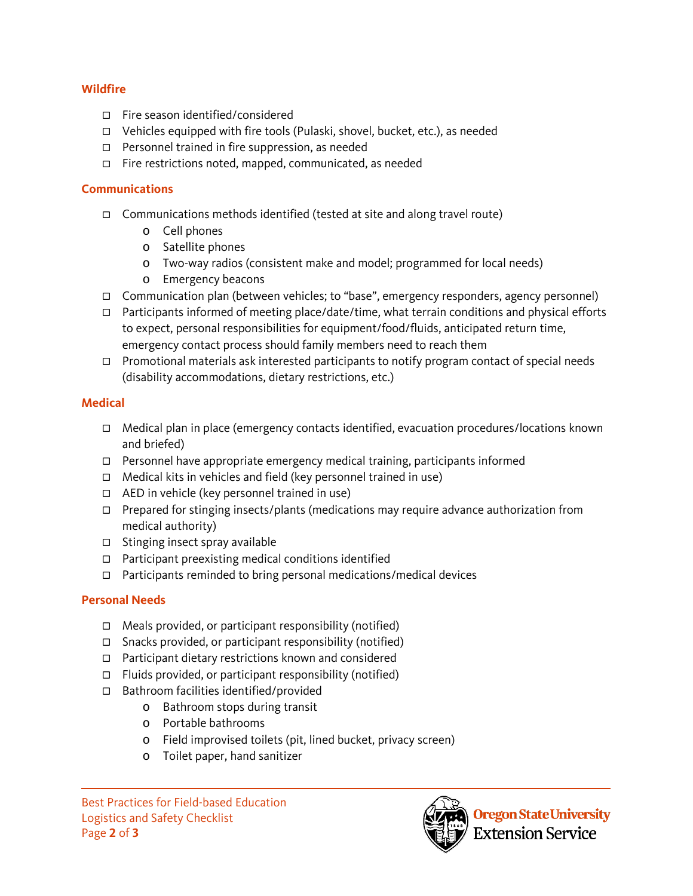#### **Wildfire**

- Fire season identified/considered
- $\Box$  Vehicles equipped with fire tools (Pulaski, shovel, bucket, etc.), as needed
- Personnel trained in fire suppression, as needed
- $\Box$  Fire restrictions noted, mapped, communicated, as needed

#### **Communications**

- Communications methods identified (tested at site and along travel route)
	- o Cell phones
	- o Satellite phones
	- o Two-way radios (consistent make and model; programmed for local needs)
	- o Emergency beacons
- Communication plan (between vehicles; to "base", emergency responders, agency personnel)
- $\Box$  Participants informed of meeting place/date/time, what terrain conditions and physical efforts to expect, personal responsibilities for equipment/food/fluids, anticipated return time, emergency contact process should family members need to reach them
- $\Box$  Promotional materials ask interested participants to notify program contact of special needs (disability accommodations, dietary restrictions, etc.)

## **Medical**

- $\Box$  Medical plan in place (emergency contacts identified, evacuation procedures/locations known and briefed)
- $\Box$  Personnel have appropriate emergency medical training, participants informed
- $\Box$  Medical kits in vehicles and field (key personnel trained in use)
- $\Box$  AED in vehicle (key personnel trained in use)
- $\Box$  Prepared for stinging insects/plants (medications may require advance authorization from medical authority)
- $\Box$  Stinging insect spray available
- □ Participant preexisting medical conditions identified
- $\Box$  Participants reminded to bring personal medications/medical devices

## **Personal Needs**

- $\Box$  Meals provided, or participant responsibility (notified)
- $\Box$  Snacks provided, or participant responsibility (notified)
- Participant dietary restrictions known and considered
- $\Box$  Fluids provided, or participant responsibility (notified)
- Bathroom facilities identified/provided
	- o Bathroom stops during transit
	- o Portable bathrooms
	- o Field improvised toilets (pit, lined bucket, privacy screen)
	- o Toilet paper, hand sanitizer